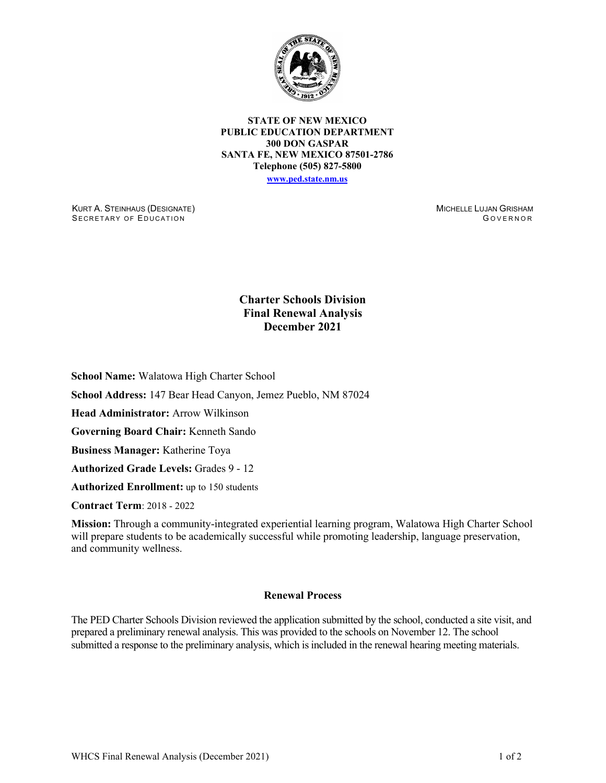

**STATE OF NEW MEXICO PUBLIC EDUCATION DEPARTMENT 300 DON GASPAR SANTA FE, NEW MEXICO 87501-2786 Telephone (505) 827-5800 [www.ped.state.nm.us](http://webnew.ped.state.nm.us/)**

KURT A. STEINHAUS (DESIGNATE) SECRETARY OF EDUCATION

MICHELLE LUJAN GRISHAM G OVERNOR

## **Charter Schools Division Final Renewal Analysis December 2021**

**School Name:** Walatowa High Charter School

**School Address:** 147 Bear Head Canyon, Jemez Pueblo, NM 87024

**Head Administrator:** Arrow Wilkinson

**Governing Board Chair:** Kenneth Sando

**Business Manager:** Katherine Toya

**Authorized Grade Levels:** Grades 9 - 12

**Authorized Enrollment:** up to 150 students

**Contract Term**: 2018 - 2022

**Mission:** Through a community-integrated experiential learning program, Walatowa High Charter School will prepare students to be academically successful while promoting leadership, language preservation, and community wellness.

## **Renewal Process**

The PED Charter Schools Division reviewed the application submitted by the school, conducted a site visit, and prepared a preliminary renewal analysis. This was provided to the schools on November 12. The school submitted a response to the preliminary analysis, which is included in the renewal hearing meeting materials.